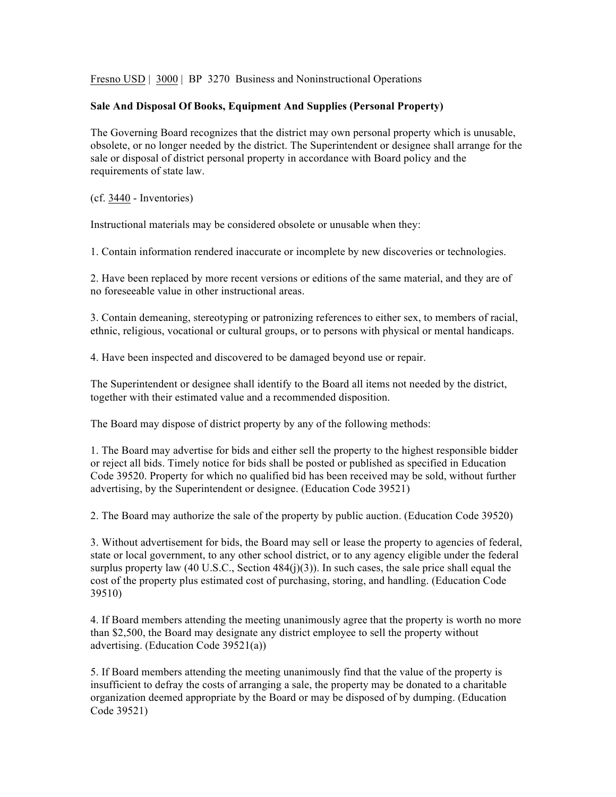Fresno USD | 3000 | BP 3270 Business and Noninstructional Operations

## **Sale And Disposal Of Books, Equipment And Supplies (Personal Property)**

The Governing Board recognizes that the district may own personal property which is unusable, obsolete, or no longer needed by the district. The Superintendent or designee shall arrange for the sale or disposal of district personal property in accordance with Board policy and the requirements of state law.

(cf. 3440 - Inventories)

Instructional materials may be considered obsolete or unusable when they:

1. Contain information rendered inaccurate or incomplete by new discoveries or technologies.

2. Have been replaced by more recent versions or editions of the same material, and they are of no foreseeable value in other instructional areas.

3. Contain demeaning, stereotyping or patronizing references to either sex, to members of racial, ethnic, religious, vocational or cultural groups, or to persons with physical or mental handicaps.

4. Have been inspected and discovered to be damaged beyond use or repair.

The Superintendent or designee shall identify to the Board all items not needed by the district, together with their estimated value and a recommended disposition.

The Board may dispose of district property by any of the following methods:

1. The Board may advertise for bids and either sell the property to the highest responsible bidder or reject all bids. Timely notice for bids shall be posted or published as specified in Education Code 39520. Property for which no qualified bid has been received may be sold, without further advertising, by the Superintendent or designee. (Education Code 39521)

2. The Board may authorize the sale of the property by public auction. (Education Code 39520)

3. Without advertisement for bids, the Board may sell or lease the property to agencies of federal, state or local government, to any other school district, or to any agency eligible under the federal surplus property law  $(40 \text{ U.S.C.}, \text{Section } 484(i)(3))$ . In such cases, the sale price shall equal the cost of the property plus estimated cost of purchasing, storing, and handling. (Education Code 39510)

4. If Board members attending the meeting unanimously agree that the property is worth no more than \$2,500, the Board may designate any district employee to sell the property without advertising. (Education Code 39521(a))

5. If Board members attending the meeting unanimously find that the value of the property is insufficient to defray the costs of arranging a sale, the property may be donated to a charitable organization deemed appropriate by the Board or may be disposed of by dumping. (Education Code 39521)